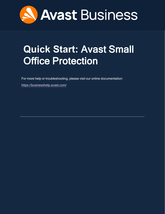

# <span id="page-0-0"></span>**Quick Start:** Avast Small Office Protection

For more help or troubleshooting, please visit our online documentation:

<https://businesshelp.avast.com/>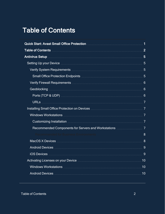## <span id="page-1-0"></span>Table of Contents

| Quick Start: Avast Small Office Protection <b>Must be a controlled and the Control</b> of Tensile and Tensile and                           |
|---------------------------------------------------------------------------------------------------------------------------------------------|
|                                                                                                                                             |
|                                                                                                                                             |
| Setting Up your Device <b>Manual According to the Setting Up your Device Manual According to the Setting Up your Device</b>                 |
|                                                                                                                                             |
|                                                                                                                                             |
|                                                                                                                                             |
|                                                                                                                                             |
|                                                                                                                                             |
|                                                                                                                                             |
| Installing Small Office Protection on Devices <b>[11]</b> Installing Small Office Protection on Devices <b>[11]</b> Installing Small Office |
|                                                                                                                                             |
|                                                                                                                                             |
|                                                                                                                                             |
| 8                                                                                                                                           |
|                                                                                                                                             |
|                                                                                                                                             |
|                                                                                                                                             |
|                                                                                                                                             |
|                                                                                                                                             |
|                                                                                                                                             |
|                                                                                                                                             |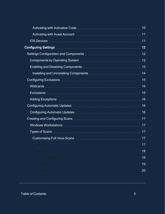| Enabling and Disabling Components <b>Manual According to the United States</b> 13 |    |
|-----------------------------------------------------------------------------------|----|
| Installing and Uninstalling Components <b>Manual According to 14</b>              |    |
|                                                                                   |    |
|                                                                                   |    |
|                                                                                   |    |
|                                                                                   |    |
|                                                                                   |    |
|                                                                                   |    |
|                                                                                   |    |
|                                                                                   |    |
|                                                                                   |    |
|                                                                                   | 17 |
| Sensitivity                                                                       | 17 |
| <b>Scan Areas</b>                                                                 | 18 |
| <b>Packers and Archives</b>                                                       | 19 |
| <b>File Types</b>                                                                 | 19 |
| <b>Exceptions</b>                                                                 | 20 |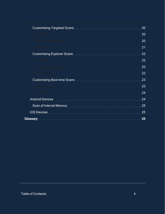|                                                            | 20 |
|------------------------------------------------------------|----|
| Sensitivity <b>Sensitivity</b>                             | 20 |
|                                                            | 20 |
|                                                            | 21 |
|                                                            | 22 |
|                                                            | 22 |
|                                                            | 22 |
|                                                            | 22 |
|                                                            | 23 |
|                                                            | 23 |
| Scan Areas <b>Manual Area</b> Scan Area and The Contractor | 24 |
|                                                            | 24 |
|                                                            | 25 |
|                                                            | 25 |
|                                                            | 26 |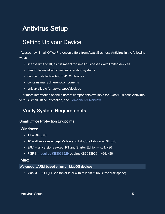## <span id="page-4-1"></span><span id="page-4-0"></span>Antivirus Setup

## Setting Up your Device

Avast's new Small Office Protection differs from Avast Business Antivirus in the following ways:

- $\cdot$  license limit of 10, as it is meant for small businesses with limited devices
- cannot be installed on server operating systems
- can be installed on Android/iOS devices
- contains many different components
- only available for unmanaged devices

<span id="page-4-2"></span>For more information on the different components available for Avast Business Antivirus versus Small Office Protection, see [Component](https://businesshelp.avast.com/Content/Products/AfB_Antivirus/ConfiguringSettings/ComponentOverview.htm) Overview.

## Verify System Requirements

### <span id="page-4-3"></span>Small Office Protection Endpoints

#### Windows:

- $11 x64$ ,  $x86$
- $\cdot$  10 all versions except Mobile and IoT Core Edition x64, x86
- $\cdot$  8/8.1 all versions except RT and Starter Edition x64, x86
- $\cdot$  7 SP1 requires [KB3033929](AV213Reqs.htm) requires KB3033929 x64, x86

#### Mac:

#### We support ARM-based chips on MacOS devices.

• MacOS 10.11 (El Capitan or later with at least 500MB free disk space)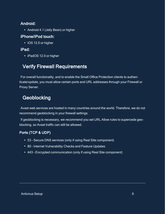## Android:

• Android 4.1 (Jelly Bean) or higher

## iPhone/iPod touch:

• iOS 12.0 or higher

## iPad:

<span id="page-5-0"></span>• iPadOS 12.0 or higher

## Verify Firewall Requirements

<span id="page-5-1"></span>For overall functionality, and to enable the Small Office Protection clients to authenticate/update, you must allow certain ports and URL addresses through your Firewall or Proxy Server.

## **Geoblocking**

Avast web services are hosted in many countries around the world. Therefore, we do not recommend geoblocking in your firewall settings.

If geoblocking is necessary, we recommend you set URL Allow rules to supercede geoblocking, so Avast traffic can still be allowed.

## <span id="page-5-2"></span>Ports (TCP & UDP)

- 53 Secure DNS services (only if using Real Site component)
- 80 Internet Vulnerability Checks and Feature Updates
- 443 Encrypted communication (only if using Real Site component)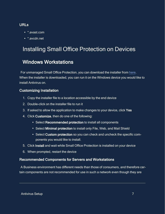### <span id="page-6-0"></span>URLs

- \* avast com
- <span id="page-6-1"></span>• \*.avcdn.net

## <span id="page-6-2"></span>Installing Small Office Protection on Devices

## Windows Workstations

For unmanaged Small Office Protection, you can download the installer from [here](http://www.avast.com/download-thank-you.php?product=SOD-W). When the installer is downloaded, you can run it on the Windows device you would like to install Antivirus on.

### <span id="page-6-3"></span>Customizing Installation

- 1. Copy the installer file to a location accessible by the end device
- 2. Double-click on the installer file to run it
- 3. If asked to allow the application to make changes to your device, click Yes
- 4. Click Customize, then do one of the following:
	- Select Recommended protection to install all components
	- Select Minimal protection to install only File, Web, and Mail Shield
	- Select Custom protection so you can check and uncheck the specific components you would like to install.
- 5. Click Install and wait while Small Office Protection is installed on your device
- <span id="page-6-4"></span>6. When prompted, restart the device

### Recommended Components for Servers and Workstations

A Business environment has different needs than those of consumers, and therefore certain components are not recommended for use in such a network even though they are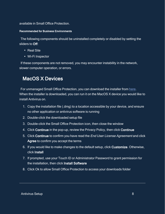<span id="page-7-0"></span>available in Small Office Protection.

#### Recommended for Business Environments

The following components should be uninstalled completely or disabled by setting the sliders to Off:

- $\cdot$  Real Site
- Wi-Fi Inspector

<span id="page-7-1"></span>If these components are not removed, you may encounter instability in the network, slower computer operation, or errors.

## MacOS X Devices

For unmanaged Small Office Protection, you can download the installer from [here](https://www.avast.com/download-thank-you.php?product=SOD-M). When the installer is downloaded, you can run it on the MacOS X device you would like to install Antivirus on.

- 1. Copy the installation file (.dmg) to a location accessible by your device, and ensure no other application or antivirus software is running
- 2. Double-click the downloaded setup file
- 3. Double-click the Small Office Protection icon, then close the window
- 4. Click Continue in the pop-up, review the Privacy Policy, then click Continue
- 5. Click Continue to confirm you have read the End User License Agreement and click Agree to confirm you accept the terms
- 6. If you would like to make changes to the default setup, click Customize. Otherwise, click Install
- 7. If prompted, use your Touch ID or Administrator Password to grant permission for the installation, then click Install Software
- 8. Click Ok to allow Small Office Protection to access your downloads folder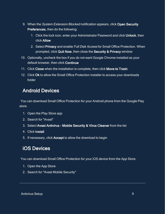- 9. When the System Extension Blocked notification appears, click Open Security Preferences, then do the following:
	- 1. Click the lock icon, enter your Administrator Password and click Unlock, then click Allow
	- 2. Select Privacy and enable Full Disk Access for Small Office Protection. When prompted, click Quit Now, then close the Security & Privacy window
- 10. Optionally, uncheck the box if you do not want Google Chrome installed as your default browser, then click Continue
- 11. Click Close when the installation is complete, then click Move to Trash
- <span id="page-8-0"></span>12. Click Ok to allow the Small Office Protection installer to access your downloads folder

## Android Devices

You can download Small Office Protection for your Android phone from the Google Play store.

- 1. Open the Play Store app
- 2. Search for "Avast"
- 3. Select Avast Antivirus Mobile Security & Virus Cleaner from the list
- 4. Click Install
- <span id="page-8-1"></span>5. If necessary, click Accept to allow the download to begin

## iOS Devices

You can download Small Office Protection for your iOS device from the App Store.

- 1. Open the App Store
- 2. Search for "Avast Mobile Security"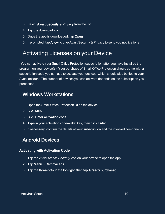- 3. Select Avast Security & Privacy from the list
- 4. Tap the download icon
- 5. Once the app is downloaded, tap Open
- <span id="page-9-0"></span>6. If prompted, tap Allow to give Avast Security & Privacy to send you notifications

## Activating Licenses on your Device

You can activate your Small Office Protection subscription after you have installed the program on your device(s). Your purchase of Small Office Protection should come with a subscription code you can use to activate your devices, which should also be tied to your Avast account. The number of devices you can activate depends on the subscription you purchased.

## <span id="page-9-1"></span>Windows Workstations

- 1. Open the Small Office Protection UI on the device
- 2. Click Menu
- 3. Click Enter activation code
- 4. Type in your activation code/wallet key, then click **Enter**
- <span id="page-9-2"></span>5. If necessary, confirm the details of your subscription and the involved components

## Android Devices

### <span id="page-9-3"></span>Activating with Activation Code

- 1. Tap the Avast Mobile Security icon on your device to open the app
- 2. Tap Menu ▸ Remove ads
- 3. Tap the three dots in the top right, then tap Already purchased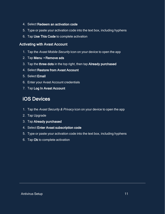- 4. Select Redeem an activation code
- 5. Type or paste your activation code into the text box, including hyphens
- <span id="page-10-0"></span>6. Tap Use This Code to complete activation

### Activating with Avast Account

- 1. Tap the Avast Mobile Security icon on your device to open the app
- 2. Tap Menu ▸ Remove ads
- 3. Tap the three dots in the top right, then tap Already purchased
- 4. Select Restore from Avast Account
- 5. Select Email
- 6. Enter your Avast Account credentials
- <span id="page-10-1"></span>7. Tap Log In Avast Account

## iOS Devices

- 1. Tap the Avast Security & Privacy icon on your device to open the app
- 2. Tap Upgrade
- 3. Tap Already purchased
- 4. Select Enter Avast subscription code
- 5. Type or paste your activation code into the text box, including hyphens
- 6. Tap Ok to complete activation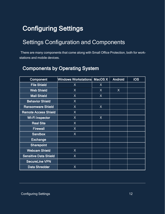## <span id="page-11-1"></span><span id="page-11-0"></span>Configuring Settings

## Settings Configuration and Components

<span id="page-11-2"></span>There are many components that come along with Small Office Protection, both for workstations and mobile devices.

## Components by Operating System

| <b>Component</b>             | Windows Workstations MacOS X |   | <b>Android</b> | <b>iOS</b> |
|------------------------------|------------------------------|---|----------------|------------|
| <b>File Shield</b>           | X                            | X |                |            |
| <b>Web Shield</b>            | X                            | X | X              |            |
| <b>Mail Shield</b>           | X                            | X |                |            |
| <b>Behavior Shield</b>       | X                            |   |                |            |
| <b>Ransomware Shield</b>     | X                            | X |                |            |
| <b>Remote Access Shield</b>  | X                            |   |                |            |
| <b>Wi-Filnspector</b>        | X                            | X |                |            |
| <b>Real Site</b>             | X                            |   |                |            |
| <b>Firewall</b>              | X                            |   |                |            |
| <b>Sandbox</b>               | X                            |   |                |            |
| <b>Exchange</b>              |                              |   |                |            |
| <b>Sharepoint</b>            |                              |   |                |            |
| <b>Webcam Shield</b>         | X                            |   |                |            |
| <b>Sensitive Data Shield</b> | X                            |   |                |            |
| <b>SecureLine VPN</b>        |                              |   |                |            |
| <b>Data Shredder</b>         | X                            |   |                |            |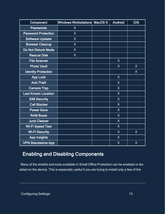| Component                  | Windows Workstations | MacOS X | <b>Android</b>          | <b>iOS</b>              |
|----------------------------|----------------------|---------|-------------------------|-------------------------|
| <b>Passwords</b>           | $\overline{X}$       |         |                         |                         |
| <b>Password Protection</b> | $\overline{X}$       |         |                         |                         |
| <b>Software Updater</b>    | $\sf X$              |         |                         |                         |
| <b>Browser Cleanup</b>     | $\overline{X}$       |         |                         |                         |
| <b>Do Not Disturb Mode</b> | $\sf X$              |         |                         |                         |
| <b>Rescue Disk</b>         | $\overline{X}$       |         |                         |                         |
| <b>File Scanner</b>        |                      |         | $\sf X$                 |                         |
| <b>Photo Vault</b>         |                      |         | $\sf X$                 | $\sf X$                 |
| <b>Identity Protection</b> |                      |         |                         | $\overline{X}$          |
| <b>App Lock</b>            |                      |         | $\sf X$                 |                         |
| <b>Anti-Theft</b>          |                      |         | $\sf X$                 |                         |
| <b>Camera Trap</b>         |                      |         | $\overline{\mathsf{X}}$ |                         |
| <b>Last Known Location</b> |                      |         | $\sf X$                 |                         |
| <b>SIM Security</b>        |                      |         | $\sf X$                 |                         |
| <b>Call Blocker</b>        |                      |         | $\overline{X}$          |                         |
| <b>Power Save</b>          |                      |         | $\mathsf{X}$            |                         |
| <b>RAM Boost</b>           |                      |         | $\overline{\mathsf{X}}$ |                         |
| <b>Junk Cleaner</b>        |                      |         | $\overline{X}$          |                         |
| Wi-Fi Speed Test           |                      |         | $\sf X$                 |                         |
| <b>Wi-Fi Security</b>      |                      |         | $\sf X$                 | X                       |
| <b>App Insights</b>        |                      |         | $\sf X$                 |                         |
| <b>VPN Standalone App</b>  |                      |         | $\sf X$                 | $\overline{\mathsf{X}}$ |

## <span id="page-12-0"></span>Enabling and Disabling Components

Many of the shields and tools available in Small Office Protection can be enabled or disabled on the device. This is especially useful if you are trying to install only a few of the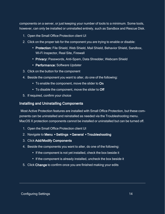components on a server, or just keeping your number of tools to a minimum. Some tools, however, can only be installed or uninstalled entirely, such as Sandbox and Rescue Disk.

- 1. Open the Small Office Protection client UI
- 2. Click on the proper tab for the component you are trying to enable or disable:
	- Protection: File Shield, Web Shield, Mail Shield, Behavior Shield, Sandbox, Wi-Fi Inspector, Real Site, Firewall
	- Privacy: Passwords, Anti-Spam, Data Shredder, Webcam Shield
	- Performance: Software Updater
- 3. Click on the button for the component
- 4. Beside the component you want to alter, do one of the following:
	- To enable the component, move the slider to On
	- To disable the component, move the slider to Off
- <span id="page-13-0"></span>5. If required, confirm your choice

#### Installing and Uninstalling Components

Most Active Protection features are installed with Small Office Protection, but these components can be uninstalled and reinstalled as needed via the Troubleshooting menu. MacOS X protection components cannot be installed or uninstalled but can be turned off.

- 1. Open the Small Office Protection client UI
- 2. Navigate to Menu ▸ Settings ▸ General ▸ Troubleshooting
- 3. Click Add/Modify Components
- 4. Beside the components you want to alter, do one of the following:
	- If the component is not yet installed, check the box beside it
	- If the component is already installed, uncheck the box beside it
- 5. Click Change to confirm once you are finished making your edits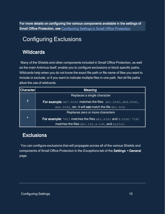<span id="page-14-0"></span>For more details on configuring the various components available in the settings of Small Office Protection, see [Configuring Settings in Small Office Protection](https://businesshelp.avast.com/Content/ArticleLists/AfB_Antivirus/ConfiguringSettings.htm).

## <span id="page-14-1"></span>Configuring Exclusions

## **Wildcards**

Many of the Shields and other components included in Small Office Protection, as well as the main Antivirus itself, enable you to configure exclusions or block specific paths. Wildcards help when you do not know the exact file path or file name of files you want to include or exclude, or if you want to indicate multiple files in one path. Not all file paths allow the use of wildcards.

| Character        | <b>Meaning</b>                                                       |
|------------------|----------------------------------------------------------------------|
|                  | Replaces a single character                                          |
| $\boldsymbol{?}$ | <b>For example:</b> ab?.html matches the files abc.html, abd.html,   |
|                  | abe.html, etc. It will not match the file abc.htm.                   |
|                  | Replaces zero or more characters                                     |
| $\star$          | <b>For example:</b> *mtl matches the files abc.html and d.html. *txt |
|                  | matches the files abc.txt, x.txt, and xyztxt.                        |

## <span id="page-14-2"></span>**Exclusions**

You can configure exclusions that will propagate across all of the various Shields and components of Small Office Protection in the *Exceptions* tab of the Settings ▶ General page.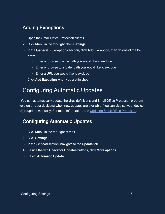## <span id="page-15-0"></span>**Adding Exceptions**

- 1. Open the Small Office Protection client UI
- 2. Click Menu in the top-right, then Settings
- 3. In the General ▸ Exceptions section, click Add Exception, then do one of the following:
	- Enter or browse to a file path you would like to exclude
	- Enter or browse to a folder path you would like to exclude
	- Enter a URL you would like to exclude
- <span id="page-15-1"></span>4. Click Add Exception when you are finished

## Configuring Automatic Updates

<span id="page-15-2"></span>You can automatically update the virus definitions and Small Office Protection program version on your device(s) when new updates are available. You can also set your device (s) to update manually. For more information, see Updating Small Office [Protection.](https://businesshelp.avast.com/Content/Products/AfB_Antivirus/AntivirusManagement/UpdatingAvastBusinessAntivirus.htm)

## Configuring Automatic Updates

- 1. Click Menu in the top-right of the UI
- 2. Click Settings
- 3. In the *General* section, navigate to the **Update** tab
- 4. Beside the two Check for Updates buttons, click More options
- 5. Select Automatic Update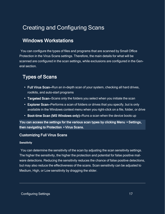## <span id="page-16-1"></span><span id="page-16-0"></span>Creating and Configuring Scans

## Windows Workstations

You can configure the types of files and programs that are scanned by Small Office Protection in the Virus Scans settings. Therefore, the main details for what will be scanned are configured in the scan settings, while exclusions are configured in the General section.

## <span id="page-16-2"></span>Types of Scans

- Full Virus Scan–Run an in-depth scan of your system, checking all hard drives, rootkits, and auto-start programs
- Targeted Scan–Scans only the folders you select when you initiate the scan
- Explorer Scan–Performs a scan of folders or drives that you specify, but is only available in the Windows context menu when you right-click on a file, folder, or drive
- Boot-time Scan (MS Windows only)–Runs a scan when the device boots up

You can access the settings for the various scan types by clicking Menu ▸ Settings, then navigating to Protection ▸ Virus Scans.

### <span id="page-16-4"></span><span id="page-16-3"></span>Customizing Full Virus Scans

#### **Sensitivity**

You can determine the sensitivity of the scan by adjusting the scan sensitivity settings. The higher the sensitivity, the higher the protection and potential for false positive malware detections. Reducing the sensitivity reduces the chance of false positive detections, but may also reduce the effectiveness of the scans. Scan sensitivity can be adjusted to Medium, High, or Low sensitivity by dragging the slider.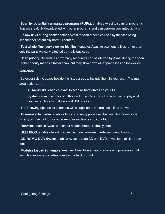Scan for potentially unwanted programs (PUPs): enables Avast to scan for programs that are stealthily downloaded with other programs and can perform unwanted activity

Follow links during scan: enables Avast to scan other files used by the files being scanned for potentially harmful content

Test whole files (very slow for big files): enables Avast to scan entire files rather than only the parts typically affected by malicious code

Scan priority: determines how many resources can be utilized by Avast during the scan. Higher priority means a faster scan, but may slow down other processes on the device

#### <span id="page-17-0"></span>Scan Areas

Select or tick the boxes beside the listed areas to include them in your scan. The main area options are:

- All harddisks: enables Avast to scan all hard drives on your PC
- System drive: the options in this section apply to data that is stored on physical devices such as hard drives and USB sticks

The following options for scanning will be applied to the area specified above.

All removable media: enables Avast to scan applications that launch automatically when you insert a USB or other removable device into your PC

Rootkits: enables Avast to scan for hidden threats in the system

UEFI BIOS: enables Avast to scan the main firmware interfaces during boot-up

CD-ROM & DVD drives: enables Avast to scan CD and DVD drives for malicious content

Modules loaded in memory: enables Avast to scan applications and processes that launch after system startup or run in the background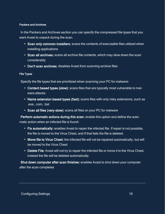#### <span id="page-18-0"></span>Packers and Archives

In the Packers and Archives section you can specify the compressed file types that you want Avast to unpack during the scan.

- Scan only common installers: scans the contents of executable files utilized when installing applications
- Scan all archives: scans all archive file contents, which may slow down the scan considerably
- <span id="page-18-1"></span>• Don't scan archives: disables Avast from scanning archive files

#### File Types

Specify the file types that are prioritized when scanning your PC for malware:

- Content based types (slow): scans files that are typically most vulnerable to malware attacks
- Name extension based types (fast): scans files with only risky extensions, such as .exe, .com, .bat
- Scan all files (very slow): scans all files on your PC for malware

Perform automatic actions during this scan: enable this option and define the automatic action when an infected file is found:

- Fix automatically: enables Avast to repair the infected file. If repair is not possible, the file is moved to the Virus Chest, and if that fails the file is deleted
- Move file to Virus Chest: the infected file will not be repaired automatically, but will be moved to the Virus Chest
- Delete File: Avast will not try to repair the infected file or move it to the Virus Chest, instead the file will be deleted automatically

Shut down computer after scan finishes: enables Avast to shut down your computer after the scan completes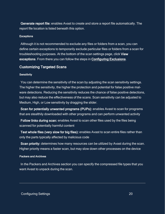Generate report file: enables Avast to create and store a report file automatically. The report file location is listed beneath this option.

#### <span id="page-19-0"></span>**Exceptions**

Although it is not recommended to exclude any files or folders from a scan, you can define certain exceptions to temporarily exclude particular files or folders from a scan for troubleshooting purposes. At the bottom of the scan settings page, click View exceptions. From there you can follow the steps in [Configuring Exclusions](../../../../../../Content/PDF_Guide/AFB_Unmanaged/ConfigExclusions.htm).

#### <span id="page-19-2"></span><span id="page-19-1"></span>Customizing Targeted Scans

#### **Sensitivity**

You can determine the sensitivity of the scan by adjusting the scan sensitivity settings. The higher the sensitivity, the higher the protection and potential for false positive malware detections. Reducing the sensitivity reduces the chance of false positive detections, but may also reduce the effectiveness of the scans. Scan sensitivity can be adjusted to Medium, High, or Low sensitivity by dragging the slider.

Scan for potentially unwanted programs (PUPs): enables Avast to scan for programs that are stealthily downloaded with other programs and can perform unwanted activity

Follow links during scan: enables Avast to scan other files used by the files being scanned for potentially harmful content

Test whole files (very slow for big files): enables Avast to scan entire files rather than only the parts typically affected by malicious code

Scan priority: determines how many resources can be utilized by Avast during the scan. Higher priority means a faster scan, but may slow down other processes on the device

#### <span id="page-19-3"></span>Packers and Archives

In the Packers and Archives section you can specify the compressed file types that you want Avast to unpack during the scan.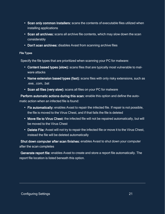- Scan only common installers: scans the contents of executable files utilized when installing applications
- Scan all archives: scans all archive file contents, which may slow down the scan considerably
- <span id="page-20-0"></span>• Don't scan archives: disables Avast from scanning archive files

#### File Types

Specify the file types that are prioritized when scanning your PC for malware:

- Content based types (slow): scans files that are typically most vulnerable to malware attacks
- Name extension based types (fast): scans files with only risky extensions, such as .exe, .com, .bat
- Scan all files (very slow): scans all files on your PC for malware

Perform automatic actions during this scan: enable this option and define the automatic action when an infected file is found:

- Fix automatically: enables Avast to repair the infected file. If repair is not possible, the file is moved to the Virus Chest, and if that fails the file is deleted
- Move file to Virus Chest: the infected file will not be repaired automatically, but will be moved to the Virus Chest
- Delete File: Avast will not try to repair the infected file or move it to the Virus Chest, instead the file will be deleted automatically

Shut down computer after scan finishes: enables Avast to shut down your computer after the scan completes

Generate report file: enables Avast to create and store a report file automatically. The report file location is listed beneath this option.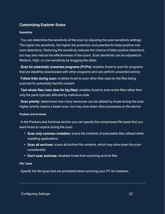### <span id="page-21-1"></span><span id="page-21-0"></span>Customizing Explorer Scans

#### **Sensitivity**

You can determine the sensitivity of the scan by adjusting the scan sensitivity settings. The higher the sensitivity, the higher the protection and potential for false positive malware detections. Reducing the sensitivity reduces the chance of false positive detections, but may also reduce the effectiveness of the scans. Scan sensitivity can be adjusted to Medium, High, or Low sensitivity by dragging the slider.

Scan for potentially unwanted programs (PUPs): enables Avast to scan for programs that are stealthily downloaded with other programs and can perform unwanted activity

Follow links during scan: enables Avast to scan other files used by the files being scanned for potentially harmful content

Test whole files (very slow for big files): enables Avast to scan entire files rather than only the parts typically affected by malicious code

Scan priority: determines how many resources can be utilized by Avast during the scan. Higher priority means a faster scan, but may slow down other processes on the device

#### <span id="page-21-2"></span>Packers and Archives

In the Packers and Archives section you can specify the compressed file types that you want Avast to unpack during the scan.

- Scan only common installers: scans the contents of executable files utilized when installing applications
- Scan all archives: scans all archive file contents, which may slow down the scan considerably
- <span id="page-21-3"></span>• Don't scan archives: disables Avast from scanning archive files

#### File Types

Specify the file types that are prioritized when scanning your PC for malware: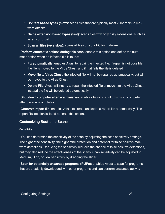- Content based types (slow): scans files that are typically most vulnerable to malware attacks
- Name extension based types (fast): scans files with only risky extensions, such as .exe, .com, .bat
- Scan all files (very slow): scans all files on your PC for malware

Perform automatic actions during this scan: enable this option and define the automatic action when an infected file is found:

- Fix automatically: enables Avast to repair the infected file. If repair is not possible, the file is moved to the Virus Chest, and if that fails the file is deleted
- Move file to Virus Chest: the infected file will not be repaired automatically, but will be moved to the Virus Chest
- Delete File: Avast will not try to repair the infected file or move it to the Virus Chest, instead the file will be deleted automatically

Shut down computer after scan finishes: enables Avast to shut down your computer after the scan completes

Generate report file: enables Avast to create and store a report file automatically. The report file location is listed beneath this option.

### <span id="page-22-1"></span><span id="page-22-0"></span>Customizing Boot-time Scans

#### **Sensitivity**

You can determine the sensitivity of the scan by adjusting the scan sensitivity settings. The higher the sensitivity, the higher the protection and potential for false positive malware detections. Reducing the sensitivity reduces the chance of false positive detections, but may also reduce the effectiveness of the scans. Scan sensitivity can be adjusted to Medium, High, or Low sensitivity by dragging the slider.

Scan for potentially unwanted programs (PUPs): enables Avast to scan for programs that are stealthily downloaded with other programs and can perform unwanted activity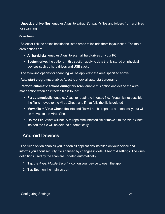Unpack archive files: enables Avast to extract ('unpack') files and folders from archives for scanning

#### <span id="page-23-0"></span>Scan Areas

Select or tick the boxes beside the listed areas to include them in your scan. The main area options are:

- All harddisks: enables Avast to scan all hard drives on your PC
- System drive: the options in this section apply to data that is stored on physical devices such as hard drives and USB sticks

The following options for scanning will be applied to the area specified above.

Auto start programs: enables Avast to check all auto-start programs

Perform automatic actions during this scan: enable this option and define the automatic action when an infected file is found:

- Fix automatically: enables Avast to repair the infected file. If repair is not possible, the file is moved to the Virus Chest, and if that fails the file is deleted
- Move file to Virus Chest: the infected file will not be repaired automatically, but will be moved to the Virus Chest
- <span id="page-23-1"></span>• Delete File: Avast will not try to repair the infected file or move it to the Virus Chest, instead the file will be deleted automatically

## Android Devices

The Scan option enables you to scan all applications installed on your device and informs you about security risks caused by changes in default Android settings. The virus definitions used by the scan are updated automatically.

- 1. Tap the Avast Mobile Security icon on your device to open the app
- 2. Tap Scan on the main screen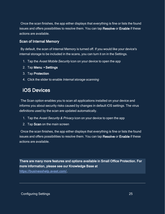Once the scan finishes, the app either displays that everything is fine or lists the found issues and offers possibilities to resolve them. You can tap Resolve or Enable if these actions are available.

### <span id="page-24-0"></span>Scan of Internal Memory

By default, the scan of Internal Memory is turned off. If you would like your device's internal storage to be included in the scans, you can turn it on in the Settings.

- 1. Tap the Avast Mobile Security icon on your device to open the app
- 2. Tap Menu ▸ Settings
- 3. Tap Protection
- <span id="page-24-1"></span>4. Click the slider to enable Internal storage scanning

## iOS Devices

The Scan option enables you to scan all applications installed on your device and informs you about security risks caused by changes in default iOS settings. The virus definitions used by the scan are updated automatically.

- 1. Tap the Avast Security & Privacy icon on your device to open the app
- 2. Tap Scan on the main screen

Once the scan finishes, the app either displays that everything is fine or lists the found issues and offers possibilities to resolve them. You can tap Resolve or Enable if these actions are available.

There are many more features and options available in Small Office Protection. For more information, please see our Knowledge Base at <https://businesshelp.avast.com/>.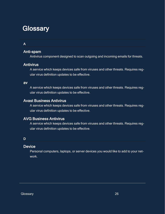## <span id="page-25-0"></span>**Glossary**

### A

### Anti-spam

Antivirus component designed to scan outgoing and incoming emails for threats.

### **Antivirus**

A service which keeps devices safe from viruses and other threats. Requires regular virus definition updates to be effective.

#### av

A service which keeps devices safe from viruses and other threats. Requires regular virus definition updates to be effective.

### Avast Business Antivirus

A service which keeps devices safe from viruses and other threats. Requires regular virus definition updates to be effective.

### AVG Business Antivirus

A service which keeps devices safe from viruses and other threats. Requires regular virus definition updates to be effective.

### D

### **Device**

Personal computers, laptops, or server devices you would like to add to your network.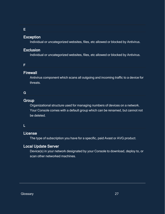#### E

### Exception

Individual or uncategorized websites, files, etc allowed or blocked by Antivirus.

### Exclusion

Individual or uncategorized websites, files, etc allowed or blocked by Antivirus.

### F

### **Firewall**

Antivirus component which scans all outgoing and incoming traffic to a device for threats.

### G

### **Group**

Organizational structure used for managing numbers of devices on a network. Your Console comes with a default group which can be renamed, but cannot not be deleted.

#### L

### License

The type of subscription you have for a specific, paid Avast or AVG product.

### Local Update Server

Device(s) in your network designated by your Console to download, deploy to, or scan other networked machines.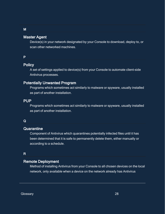### Master Agent

Device(s) in your network designated by your Console to download, deploy to, or scan other networked machines.

#### P

### **Policy**

A set of settings applied to device(s) from your Console to automate client-side Antivirus processes.

### Potentially Unwanted Program

Programs which sometimes act similarly to malware or spyware, usually installed as part of another installation.

#### PUP

Programs which sometimes act similarly to malware or spyware, usually installed as part of another installation.

#### Q

#### **Quarantine**

Component of Antivirus which quarantines potentially infected files until it has been determined that it is safe to permanently delete them, either manually or according to a schedule.

### R

#### Remote Deployment

Method of installing Antivirus from your Console to all chosen devices on the local network, only available when a device on the network already has Antivirus